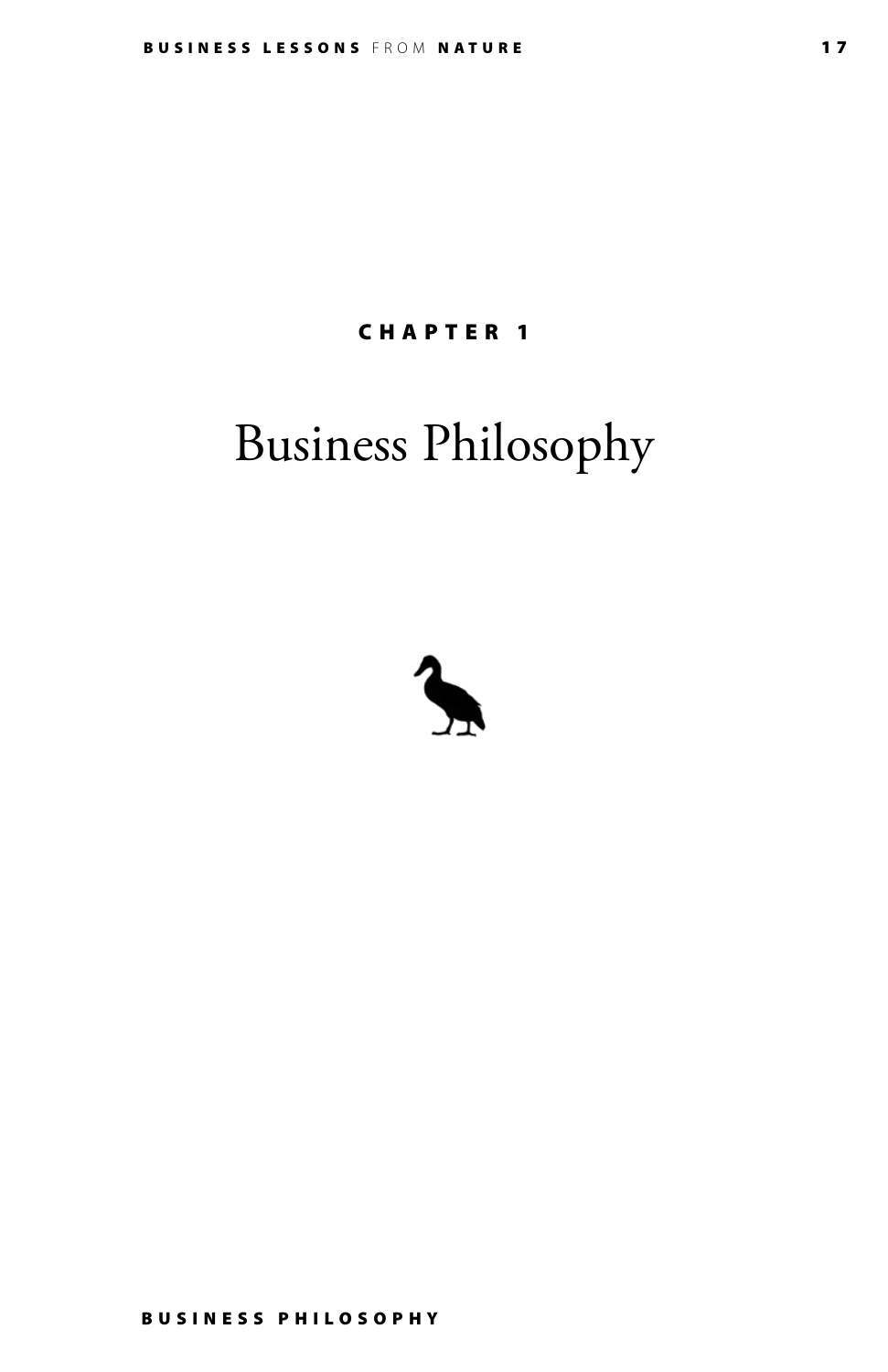## C H A P T E R 1

## Business Philosophy

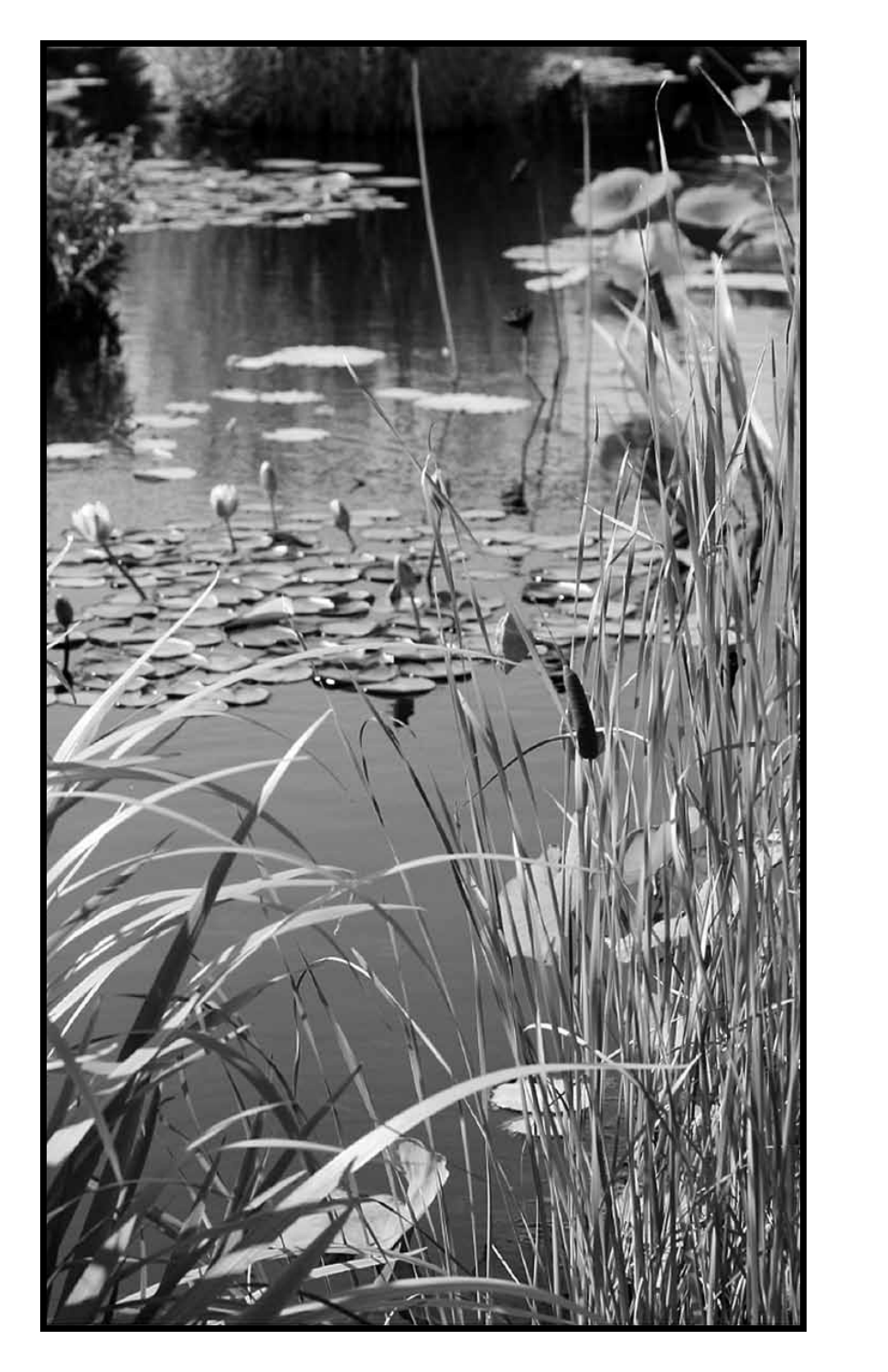